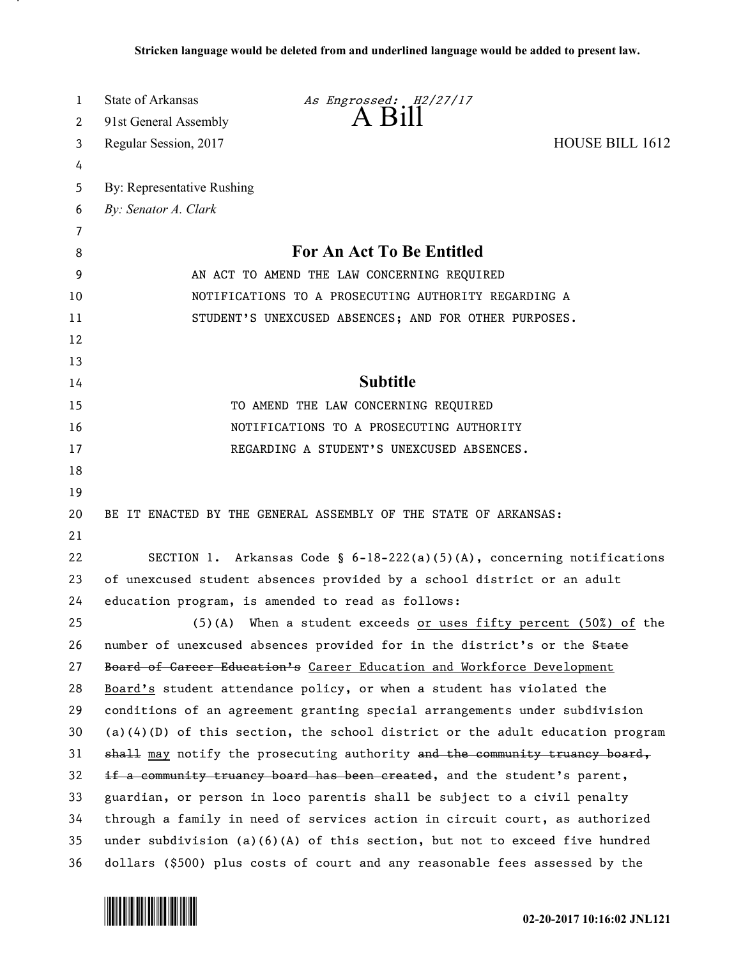| 1  | <b>State of Arkansas</b>                                                      | As Engrossed: H2/27/17                                                          |                        |
|----|-------------------------------------------------------------------------------|---------------------------------------------------------------------------------|------------------------|
| 2  | 91st General Assembly                                                         | $A$ Bill                                                                        |                        |
| 3  | Regular Session, 2017                                                         |                                                                                 | <b>HOUSE BILL 1612</b> |
| 4  |                                                                               |                                                                                 |                        |
| 5  | By: Representative Rushing                                                    |                                                                                 |                        |
| 6  | By: Senator A. Clark                                                          |                                                                                 |                        |
| 7  |                                                                               |                                                                                 |                        |
| 8  |                                                                               | For An Act To Be Entitled                                                       |                        |
| 9  | AN ACT TO AMEND THE LAW CONCERNING REQUIRED                                   |                                                                                 |                        |
| 10 | NOTIFICATIONS TO A PROSECUTING AUTHORITY REGARDING A                          |                                                                                 |                        |
| 11 | STUDENT'S UNEXCUSED ABSENCES; AND FOR OTHER PURPOSES.                         |                                                                                 |                        |
| 12 |                                                                               |                                                                                 |                        |
| 13 |                                                                               |                                                                                 |                        |
| 14 |                                                                               | <b>Subtitle</b>                                                                 |                        |
| 15 |                                                                               | TO AMEND THE LAW CONCERNING REQUIRED                                            |                        |
| 16 | NOTIFICATIONS TO A PROSECUTING AUTHORITY                                      |                                                                                 |                        |
| 17 |                                                                               | REGARDING A STUDENT'S UNEXCUSED ABSENCES.                                       |                        |
| 18 |                                                                               |                                                                                 |                        |
| 19 |                                                                               |                                                                                 |                        |
| 20 | BE IT ENACTED BY THE GENERAL ASSEMBLY OF THE STATE OF ARKANSAS:               |                                                                                 |                        |
| 21 |                                                                               |                                                                                 |                        |
| 22 |                                                                               | SECTION 1. Arkansas Code § $6-18-222(a)(5)(A)$ , concerning notifications       |                        |
| 23 | of unexcused student absences provided by a school district or an adult       |                                                                                 |                        |
| 24 |                                                                               | education program, is amended to read as follows:                               |                        |
| 25 |                                                                               | (5)(A) When a student exceeds or uses fifty percent $(50\%)$ of the             |                        |
| 26 |                                                                               | number of unexcused absences provided for in the district's or the State        |                        |
| 27 |                                                                               | Board of Career Education's Career Education and Workforce Development          |                        |
| 28 |                                                                               | Board's student attendance policy, or when a student has violated the           |                        |
| 29 |                                                                               | conditions of an agreement granting special arrangements under subdivision      |                        |
| 30 |                                                                               | $(a)(4)(D)$ of this section, the school district or the adult education program |                        |
| 31 |                                                                               | shall may notify the prosecuting authority and the community truancy board,     |                        |
| 32 |                                                                               | if a community truancy board has been created, and the student's parent,        |                        |
| 33 |                                                                               | guardian, or person in loco parentis shall be subject to a civil penalty        |                        |
| 34 | through a family in need of services action in circuit court, as authorized   |                                                                                 |                        |
| 35 | under subdivision $(a)(6)(A)$ of this section, but not to exceed five hundred |                                                                                 |                        |
| 36 |                                                                               | dollars (\$500) plus costs of court and any reasonable fees assessed by the     |                        |



л.